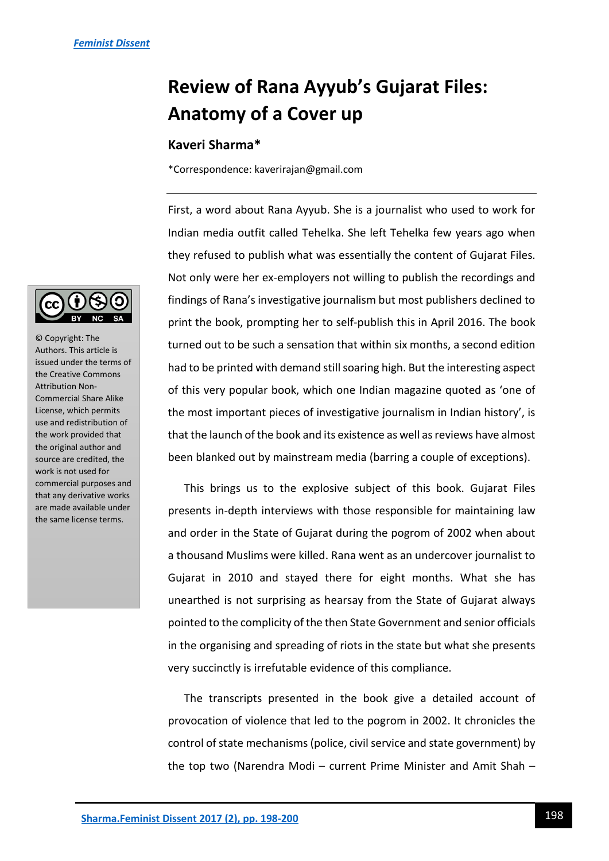## **Review of Rana Ayyub's Gujarat Files: Anatomy of a Cover up**

## **Kaveri Sharma\***

\*Correspondence: kaverirajan@gmail.com

First, a word about Rana Ayyub. She is a journalist who used to work for Indian media outfit called Tehelka. She left Tehelka few years ago when they refused to publish what was essentially the content of Gujarat Files. Not only were her ex-employers not willing to publish the recordings and findings of Rana's investigative journalism but most publishers declined to print the book, prompting her to self-publish this in April 2016. The book turned out to be such a sensation that within six months, a second edition had to be printed with demand still soaring high. But the interesting aspect of this very popular book, which one Indian magazine quoted as 'one of the most important pieces of investigative journalism in Indian history', is that the launch of the book and its existence as well as reviews have almost been blanked out by mainstream media (barring a couple of exceptions).

This brings us to the explosive subject of this book. Gujarat Files presents in-depth interviews with those responsible for maintaining law and order in the State of Gujarat during the pogrom of 2002 when about a thousand Muslims were killed. Rana went as an undercover journalist to Gujarat in 2010 and stayed there for eight months. What she has unearthed is not surprising as hearsay from the State of Gujarat always pointed to the complicity of the then State Government and senior officials in the organising and spreading of riots in the state but what she presents very succinctly is irrefutable evidence of this compliance.

The transcripts presented in the book give a detailed account of provocation of violence that led to the pogrom in 2002. It chronicles the control of state mechanisms (police, civil service and state government) by the top two (Narendra Modi – current Prime Minister and Amit Shah –



© Copyright: The Authors. This article is issued under the terms of the Creative Commons Attribution Non-Commercial Share Alike License, which permits use and redistribution of the work provided that the original author and source are credited, the work is not used for commercial purposes and that any derivative works are made available under the same license terms.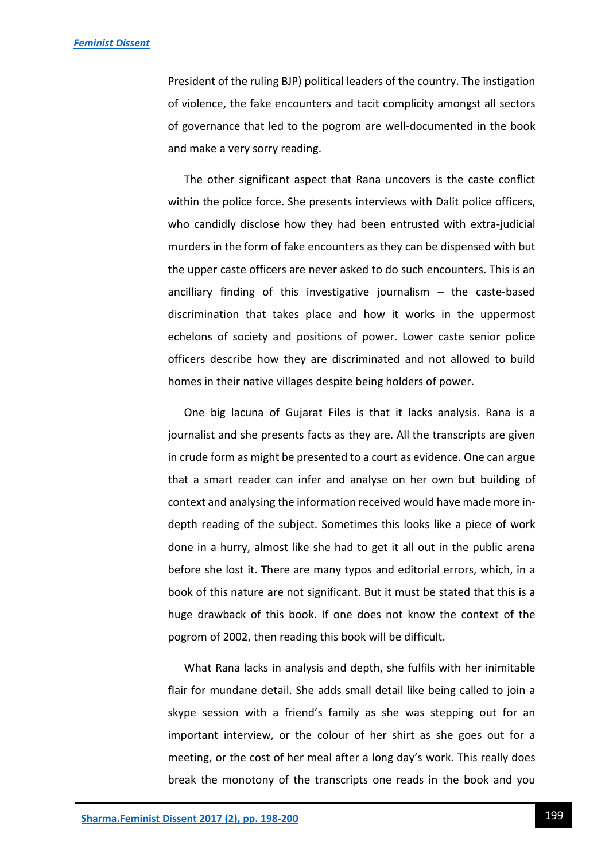President of the ruling BJP) political leaders of the country. The instigation of violence, the fake encounters and tacit complicity amongst all sectors of governance that led to the pogrom are well-documented in the book and make a very sorry reading.

The other significant aspect that Rana uncovers is the caste conflict within the police force. She presents interviews with Dalit police officers, who candidly disclose how they had been entrusted with extra-judicial murders in the form of fake encounters as they can be dispensed with but the upper caste officers are never asked to do such encounters. This is an ancilliary finding of this investigative journalism – the caste-based discrimination that takes place and how it works in the uppermost echelons of society and positions of power. Lower caste senior police officers describe how they are discriminated and not allowed to build homes in their native villages despite being holders of power.

One big lacuna of Gujarat Files is that it lacks analysis. Rana is a journalist and she presents facts as they are. All the transcripts are given in crude form as might be presented to a court as evidence. One can argue that a smart reader can infer and analyse on her own but building of context and analysing the information received would have made more indepth reading of the subject. Sometimes this looks like a piece of work done in a hurry, almost like she had to get it all out in the public arena before she lost it. There are many typos and editorial errors, which, in a book of this nature are not significant. But it must be stated that this is a huge drawback of this book. If one does not know the context of the pogrom of 2002, then reading this book will be difficult.

What Rana lacks in analysis and depth, she fulfils with her inimitable flair for mundane detail. She adds small detail like being called to join a skype session with a friend's family as she was stepping out for an important interview, or the colour of her shirt as she goes out for a meeting, or the cost of her meal after a long day's work. This really does break the monotony of the transcripts one reads in the book and you